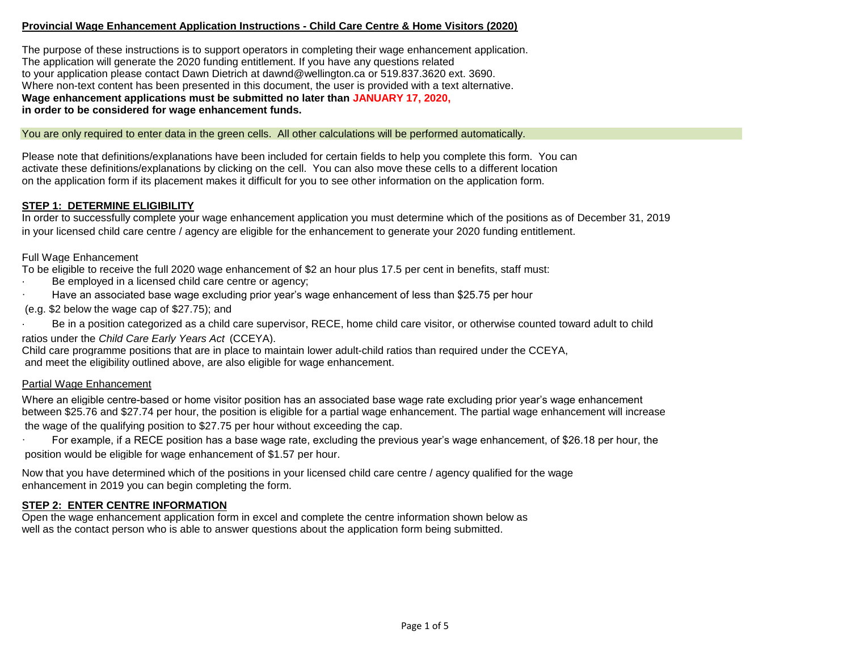#### **Provincial Wage Enhancement Application Instructions - Child Care Centre & Home Visitors (2020)**

The purpose of these instructions is to support operators in completing their wage enhancement application. The application will generate the 2020 funding entitlement. If you have any questions related to your application please contact Dawn Dietrich at dawnd@wellington.ca or 519.837.3620 ext. 3690. Where non-text content has been presented in this document, the user is provided with a text alternative. **Wage enhancement applications must be submitted no later than JANUARY 17, 2020, in order to be considered for wage enhancement funds.** 

You are only required to enter data in the green cells. All other calculations will be performed automatically.

Please note that definitions/explanations have been included for certain fields to help you complete this form. You can activate these definitions/explanations by clicking on the cell. You can also move these cells to a different location on the application form if its placement makes it difficult for you to see other information on the application form.

#### **STEP 1: DETERMINE ELIGIBILITY**

In order to successfully complete your wage enhancement application you must determine which of the positions as of December 31, 2019 in your licensed child care centre / agency are eligible for the enhancement to generate your 2020 funding entitlement.

Full Wage Enhancement

To be eligible to receive the full 2020 wage enhancement of \$2 an hour plus 17.5 per cent in benefits, staff must:

- Be employed in a licensed child care centre or agency;
- Have an associated base wage excluding prior year's wage enhancement of less than \$25.75 per hour

(e.g. \$2 below the wage cap of \$27.75); and

Be in a position categorized as a child care supervisor, RECE, home child care visitor, or otherwise counted toward adult to child

ratios under the *Child Care Early Years Act* (CCEYA).

Child care programme positions that are in place to maintain lower adult-child ratios than required under the CCEYA, and meet the eligibility outlined above, are also eligible for wage enhancement.

#### Partial Wage Enhancement

Where an eligible centre-based or home visitor position has an associated base wage rate excluding prior year's wage enhancement between \$25.76 and \$27.74 per hour, the position is eligible for a partial wage enhancement. The partial wage enhancement will increase the wage of the qualifying position to \$27.75 per hour without exceeding the cap.

For example, if a RECE position has a base wage rate, excluding the previous year's wage enhancement, of \$26.18 per hour, the position would be eligible for wage enhancement of \$1.57 per hour.

Now that you have determined which of the positions in your licensed child care centre / agency qualified for the wage enhancement in 2019 you can begin completing the form.

#### **STEP 2: ENTER CENTRE INFORMATION**

Open the wage enhancement application form in excel and complete the centre information shown below as well as the contact person who is able to answer questions about the application form being submitted.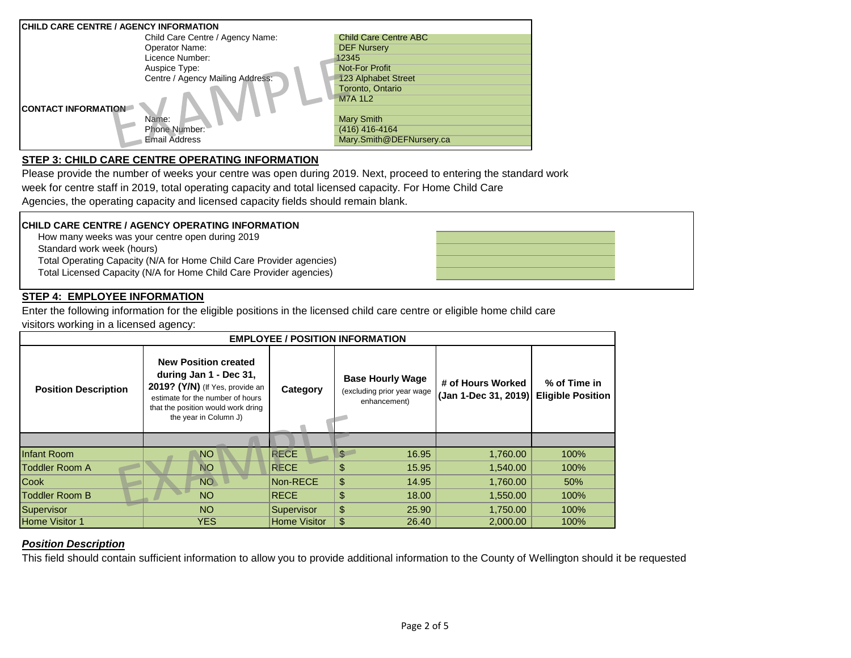| <b>ICHILD CARE CENTRE / AGENCY INFORMATION</b> |                              |
|------------------------------------------------|------------------------------|
| Child Care Centre / Agency Name:               | <b>Child Care Centre ABC</b> |
| Operator Name:                                 | <b>DEF Nursery</b>           |
| Licence Number:                                | 12345                        |
| Auspice Type:                                  | <b>Not-For Profit</b>        |
| Centre / Agency Mailing Address:               | <b>123 Alphabet Street</b>   |
|                                                | Toronto, Ontario             |
|                                                | <b>M7A 1L2</b>               |
| <b>CONTACT INFORMATION</b>                     |                              |
| Name:                                          | <b>Mary Smith</b>            |
| Phone Number:                                  | (416) 416-4164               |
| <b>Email Address</b>                           | Mary.Smith@DEFNursery.ca     |

# **STEP 3: CHILD CARE CENTRE OPERATING INFORMATION**

Please provide the number of weeks your centre was open during 2019. Next, proceed to entering the standard work week for centre staff in 2019, total operating capacity and total licensed capacity. For Home Child Care Agencies, the operating capacity and licensed capacity fields should remain blank.

#### **CHILD CARE CENTRE / AGENCY OPERATING INFORMATION**

How many weeks was your centre open during 2019

Standard work week (hours)

Total Operating Capacity (N/A for Home Child Care Provider agencies)

Total Licensed Capacity (N/A for Home Child Care Provider agencies)

## **STEP 4: EMPLOYEE INFORMATION**

Enter the following information for the eligible positions in the licensed child care centre or eligible home child care visitors working in a licensed agency:

| <b>EMPLOYEE / POSITION INFORMATION</b> |                                                                                                                                                                                             |                     |                                                                       |                                           |                                          |  |  |  |
|----------------------------------------|---------------------------------------------------------------------------------------------------------------------------------------------------------------------------------------------|---------------------|-----------------------------------------------------------------------|-------------------------------------------|------------------------------------------|--|--|--|
| <b>Position Description</b>            | <b>New Position created</b><br>during Jan 1 - Dec 31,<br>2019? (Y/N) (If Yes, provide an<br>estimate for the number of hours<br>that the position would work dring<br>the year in Column J) | Category            | <b>Base Hourly Wage</b><br>(excluding prior year wage<br>enhancement) | # of Hours Worked<br>(Jan 1-Dec 31, 2019) | % of Time in<br><b>Eligible Position</b> |  |  |  |
|                                        |                                                                                                                                                                                             |                     |                                                                       |                                           |                                          |  |  |  |
| <b>Infant Room</b>                     | <b>NO</b>                                                                                                                                                                                   | <b>RECE</b>         | \$<br>16.95                                                           | 1,760.00                                  | 100%                                     |  |  |  |
| <b>Toddler Room A</b>                  | <b>NO</b>                                                                                                                                                                                   | <b>RECE</b>         | \$<br>15.95                                                           | 1,540.00                                  | 100%                                     |  |  |  |
| <b>Cook</b>                            | <b>NO</b>                                                                                                                                                                                   | Non-RECE            | \$<br>14.95                                                           | 1,760.00                                  | 50%                                      |  |  |  |
| Toddler Room B                         | NO <sub>1</sub>                                                                                                                                                                             | <b>RECE</b>         | \$<br>18.00                                                           | 1,550.00                                  | 100%                                     |  |  |  |
| Supervisor                             | NO <sub>1</sub>                                                                                                                                                                             | Supervisor          | \$<br>25.90                                                           | 1,750.00                                  | 100%                                     |  |  |  |
| <b>Home Visitor 1</b>                  | <b>YES</b>                                                                                                                                                                                  | <b>Home Visitor</b> | \$<br>26.40                                                           | 2,000.00                                  | 100%                                     |  |  |  |

#### *Position Description*

This field should contain sufficient information to allow you to provide additional information to the County of Wellington should it be requested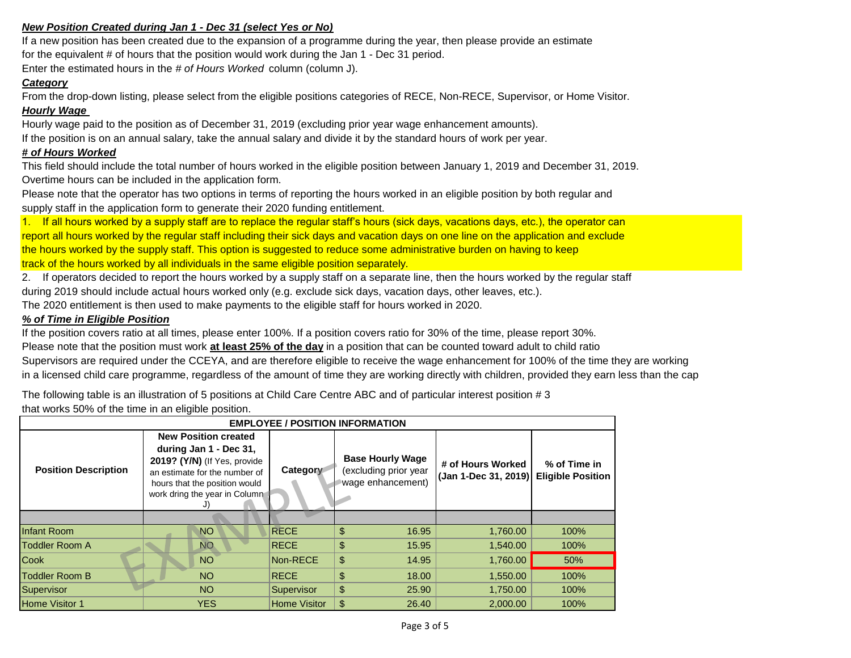## *New Position Created during Jan 1 - Dec 31 (select Yes or No)*

If a new position has been created due to the expansion of a programme during the year, then please provide an estimate for the equivalent # of hours that the position would work during the Jan 1 - Dec 31 period.

Enter the estimated hours in the *# of Hours Worked* column (column J).

#### *Category*

From the drop-down listing, please select from the eligible positions categories of RECE, Non-RECE, Supervisor, or Home Visitor.

#### *Hourly Wage*

Hourly wage paid to the position as of December 31, 2019 (excluding prior year wage enhancement amounts). If the position is on an annual salary, take the annual salary and divide it by the standard hours of work per year.

#### *# of Hours Worked*

This field should include the total number of hours worked in the eligible position between January 1, 2019 and December 31, 2019. Overtime hours can be included in the application form.

Please note that the operator has two options in terms of reporting the hours worked in an eligible position by both regular and supply staff in the application form to generate their 2020 funding entitlement.

1. If all hours worked by a supply staff are to replace the regular staff's hours (sick days, vacations days, etc.), the operator can report all hours worked by the regular staff including their sick days and vacation days on one line on the application and exclude the hours worked by the supply staff. This option is suggested to reduce some administrative burden on having to keep track of the hours worked by all individuals in the same eligible position separately.

2. If operators decided to report the hours worked by a supply staff on a separate line, then the hours worked by the regular staff during 2019 should include actual hours worked only (e.g. exclude sick days, vacation days, other leaves, etc.).

The 2020 entitlement is then used to make payments to the eligible staff for hours worked in 2020.

#### *% of Time in Eligible Position*

If the position covers ratio at all times, please enter 100%. If a position covers ratio for 30% of the time, please report 30%.

Please note that the position must work **at least 25% of the day** in a position that can be counted toward adult to child ratio

Supervisors are required under the CCEYA, and are therefore eligible to receive the wage enhancement for 100% of the time they are working in a licensed child care programme, regardless of the amount of time they are working directly with children, provided they earn less than the cap

The following table is an illustration of 5 positions at Child Care Centre ABC and of particular interest position # 3 that works 50% of the time in an eligible position.

| <b>EMPLOYEE / POSITION INFORMATION</b> |                                                                                                                                                                                          |                     |                                                                       |                                                             |              |  |  |  |
|----------------------------------------|------------------------------------------------------------------------------------------------------------------------------------------------------------------------------------------|---------------------|-----------------------------------------------------------------------|-------------------------------------------------------------|--------------|--|--|--|
| <b>Position Description</b>            | <b>New Position created</b><br>during Jan 1 - Dec 31,<br>2019? (Y/N) (If Yes, provide<br>an estimate for the number of<br>hours that the position would<br>work dring the year in Column | Category            | <b>Base Hourly Wage</b><br>(excluding prior year<br>wage enhancement) | # of Hours Worked<br>(Jan 1-Dec 31, 2019) Eligible Position | % of Time in |  |  |  |
|                                        |                                                                                                                                                                                          |                     |                                                                       |                                                             |              |  |  |  |
| Infant Room                            | <b>NO</b>                                                                                                                                                                                | <b>RECE</b>         | \$<br>16.95                                                           | 1,760.00                                                    | 100%         |  |  |  |
| Toddler Room A                         | NO <sub></sub>                                                                                                                                                                           | <b>RECE</b>         | \$<br>15.95                                                           | 1,540.00                                                    | 100%         |  |  |  |
| Cook                                   | <b>NO</b>                                                                                                                                                                                | Non-RECE            | \$<br>14.95                                                           | 1,760.00                                                    | 50%          |  |  |  |
| <b>Toddler Room B</b>                  | <b>NO</b>                                                                                                                                                                                | <b>RECE</b>         | \$<br>18.00                                                           | 1,550.00                                                    | 100%         |  |  |  |
| Supervisor                             | <b>NO</b>                                                                                                                                                                                | Supervisor          | $\frac{1}{2}$<br>25.90                                                | 1,750.00                                                    | 100%         |  |  |  |
| <b>Home Visitor 1</b>                  | <b>YES</b>                                                                                                                                                                               | <b>Home Visitor</b> | \$<br>26.40                                                           | 2.000.00                                                    | 100%         |  |  |  |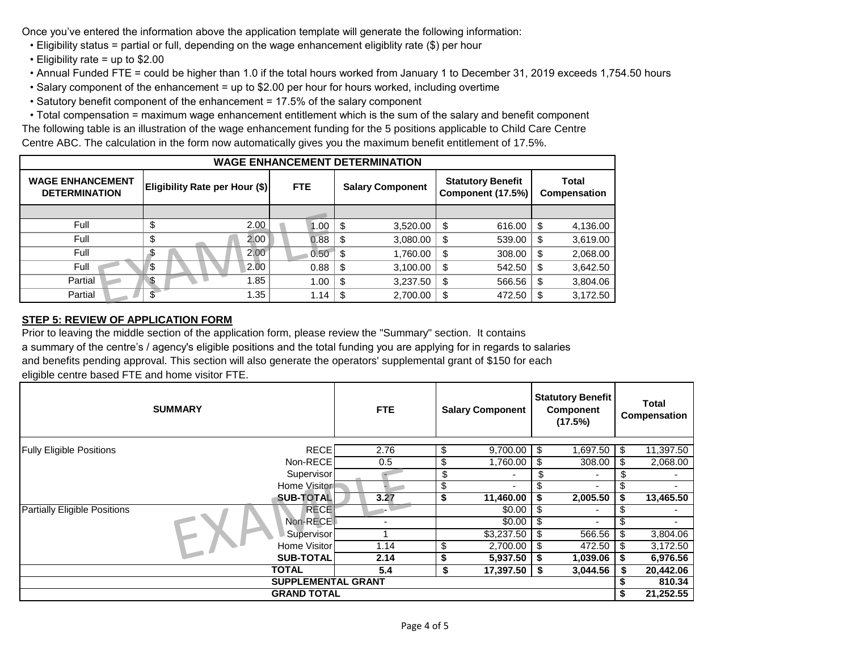Once you've entered the information above the application template will generate the following information:

- Eligibility status = partial or full, depending on the wage enhancement eligiblity rate (\$) per hour
- Eligibility rate = up to \$2.00
- Annual Funded FTE = could be higher than 1.0 if the total hours worked from January 1 to December 31, 2019 exceeds 1,754.50 hours
- Salary component of the enhancement = up to \$2.00 per hour for hours worked, including overtime
- Satutory benefit component of the enhancement = 17.5% of the salary component
- Total compensation = maximum wage enhancement entitlement which is the sum of the salary and benefit component

The following table is an illustration of the wage enhancement funding for the 5 positions applicable to Child Care Centre Centre ABC. The calculation in the form now automatically gives you the maximum benefit entitlement of 17.5%.

| <b>WAGE ENHANCEMENT DETERMINATION</b>           |                                |            |                         |                                               |                       |  |  |  |
|-------------------------------------------------|--------------------------------|------------|-------------------------|-----------------------------------------------|-----------------------|--|--|--|
| <b>WAGE ENHANCEMENT</b><br><b>DETERMINATION</b> | Eligibility Rate per Hour (\$) | <b>FTE</b> | <b>Salary Component</b> | <b>Statutory Benefit</b><br>Component (17.5%) | Total<br>Compensation |  |  |  |
|                                                 |                                |            |                         |                                               |                       |  |  |  |
| Full                                            | 2.00<br>S                      | 1.00       | S.<br>3,520.00          | 616.00<br>S                                   | 4,136.00<br>S         |  |  |  |
| Full                                            | 2.00<br>\$                     | 0.88       | \$<br>3,080.00          | 539.00<br>\$                                  | 3,619.00<br>\$        |  |  |  |
| Full                                            | 2.00<br>-S                     | 0.50       | \$<br>1,760.00          | 308.00<br>\$                                  | 2,068.00<br>S         |  |  |  |
| Full                                            | 2.00<br>\$                     | 0.88       | \$<br>3,100.00          | 542.50<br>\$                                  | 3,642.50<br>S         |  |  |  |
| Partial                                         | $\mathbf{S}$<br>.85            | 1.00       | \$<br>3,237.50          | 566.56<br>\$                                  | 3,804.06<br>S         |  |  |  |
| Partial                                         | .35                            | 1.14       | \$<br>2,700.00          | 472.50<br>\$                                  | 3,172.50<br>\$.       |  |  |  |

# **STEP 5: REVIEW OF APPLICATION FORM**

Prior to leaving the middle section of the application form, please review the "Summary" section. It contains a summary of the centre's / agency's eligible positions and the total funding you are applying for in regards to salaries and benefits pending approval. This section will also generate the operators' supplemental grant of \$150 for each eligible centre based FTE and home visitor FTE.

| <b>SUMMARY</b>                                            |                  | <b>FTE</b> |    | <b>Salary Component</b> |      | <b>Statutory Benefit</b><br><b>Component</b><br>(17.5%) |           | <b>Total</b><br>Compensation |  |
|-----------------------------------------------------------|------------------|------------|----|-------------------------|------|---------------------------------------------------------|-----------|------------------------------|--|
| <b>Fully Eligible Positions</b>                           | <b>RECE</b>      | 2.76       | \$ | $9,700.00$ \ \$         |      | 1,697.50                                                | -\$       | 11,397.50                    |  |
|                                                           | Non-RECE         | 0.5        | Œ  | 1,760.00                | \$   | 308.00                                                  | \$        | 2,068.00                     |  |
|                                                           | Supervisor       |            | \$ |                         | \$   |                                                         | æ.        |                              |  |
|                                                           | Home Visitor     |            |    | ۰.                      |      |                                                         |           |                              |  |
| <b>SUB-TOTAL</b><br>11,460.00<br>3.27                     |                  |            |    |                         |      | 2,005.50                                                | \$        | 13,465.50                    |  |
| <b>Partially Eligible Positions</b>                       | <b>RECE</b>      |            |    | \$0.00                  | \$   | $\blacksquare$                                          | S         |                              |  |
|                                                           | Non-RECE         |            |    | \$0.00                  | - \$ | ٠                                                       | S         |                              |  |
|                                                           | Supervisor       |            |    | \$3,237.50              | - \$ | 566.56                                                  | \$        | 3,804.06                     |  |
|                                                           | Home Visitor     | 1.14       | ъD | $2,700.00$ \ \$         |      | 472.50                                                  | S         | 3,172.50                     |  |
|                                                           | <b>SUB-TOTAL</b> | 2.14       |    | $5,937.50$ \\$          |      | 1,039.06                                                | -S        | 6,976.56                     |  |
| <b>TOTAL</b><br>5.4<br>$17,397.50$ \ \$<br>3,044.56<br>\$ |                  |            |    |                         |      |                                                         | S         | 20,442.06                    |  |
| <b>SUPPLEMENTAL GRANT</b>                                 |                  |            |    |                         |      |                                                         | 810.34    |                              |  |
| <b>GRAND TOTAL</b>                                        |                  |            |    |                         |      | S.                                                      | 21,252.55 |                              |  |